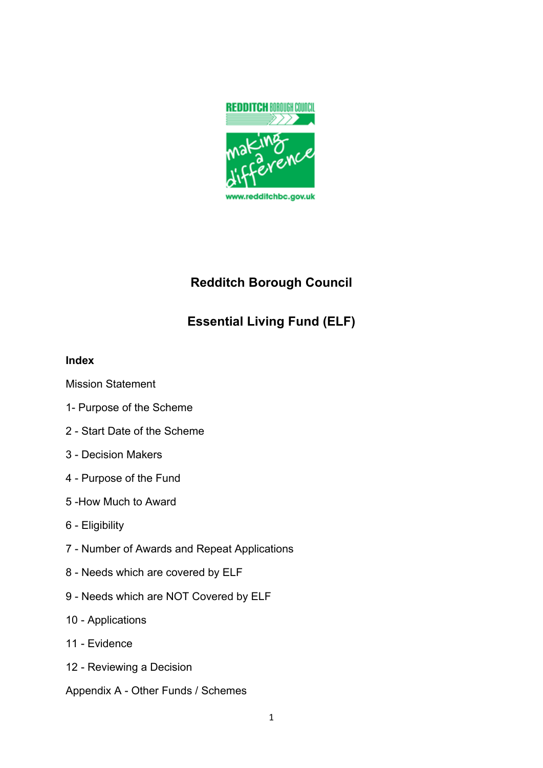

# **Redditch Borough Council**

# **Essential Living Fund (ELF)**

### **Index**

Mission Statement

- 1- Purpose of the Scheme
- Start Date of the Scheme
- Decision Makers
- Purpose of the Fund
- -How Much to Award
- Eligibility
- Number of Awards and Repeat Applications
- Needs which are covered by ELF
- Needs which are NOT Covered by ELF
- Applications
- Evidence
- Reviewing a Decision
- Appendix A Other Funds / Schemes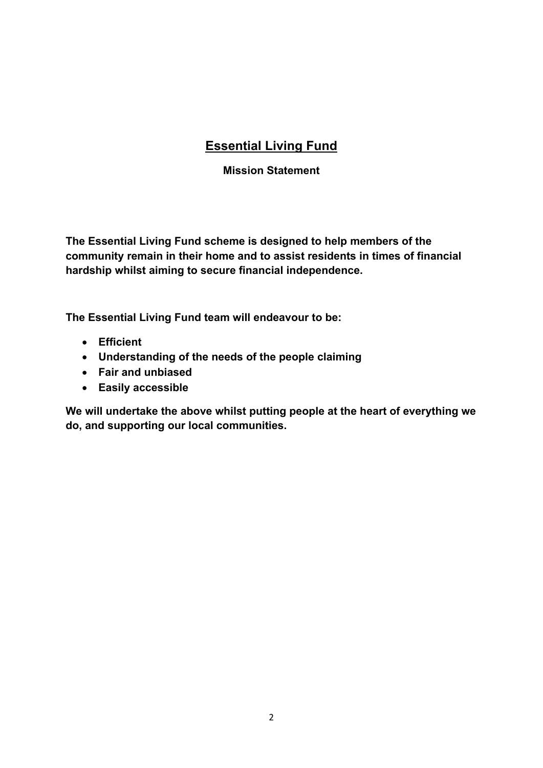# **Essential Living Fund**

### **Mission Statement**

**The Essential Living Fund scheme is designed to help members of the community remain in their home and to assist residents in times of financial hardship whilst aiming to secure financial independence.**

**The Essential Living Fund team will endeavour to be:**

- **Efficient**
- **Understanding of the needs of the people claiming**
- **Fair and unbiased**
- **Easily accessible**

**We will undertake the above whilst putting people at the heart of everything we do, and supporting our local communities.**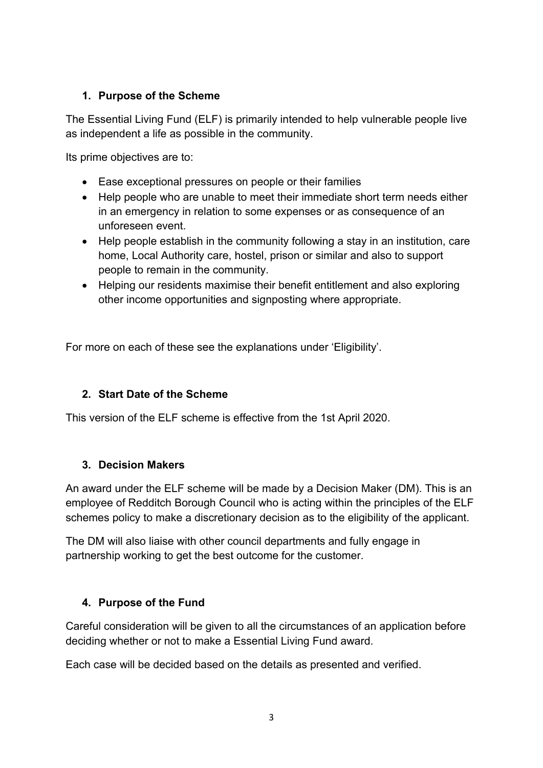# **1. Purpose of the Scheme**

The Essential Living Fund (ELF) is primarily intended to help vulnerable people live as independent a life as possible in the community.

Its prime objectives are to:

- Ease exceptional pressures on people or their families
- Help people who are unable to meet their immediate short term needs either in an emergency in relation to some expenses or as consequence of an unforeseen event.
- Help people establish in the community following a stay in an institution, care home, Local Authority care, hostel, prison or similar and also to support people to remain in the community.
- Helping our residents maximise their benefit entitlement and also exploring other income opportunities and signposting where appropriate.

For more on each of these see the explanations under 'Eligibility'.

# **2. Start Date of the Scheme**

This version of the ELF scheme is effective from the 1st April 2020.

#### **3. Decision Makers**

An award under the ELF scheme will be made by a Decision Maker (DM). This is an employee of Redditch Borough Council who is acting within the principles of the ELF schemes policy to make a discretionary decision as to the eligibility of the applicant.

The DM will also liaise with other council departments and fully engage in partnership working to get the best outcome for the customer.

# **4. Purpose of the Fund**

Careful consideration will be given to all the circumstances of an application before deciding whether or not to make a Essential Living Fund award.

Each case will be decided based on the details as presented and verified.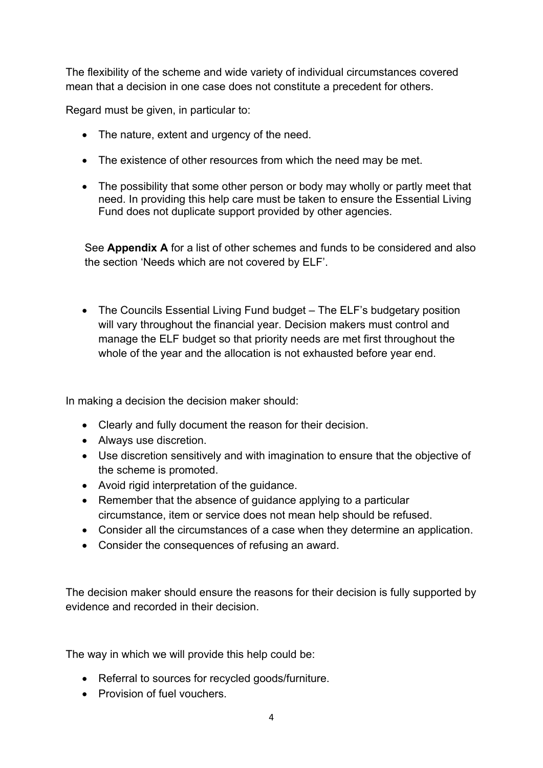The flexibility of the scheme and wide variety of individual circumstances covered mean that a decision in one case does not constitute a precedent for others.

Regard must be given, in particular to:

- The nature, extent and urgency of the need.
- The existence of other resources from which the need may be met.
- The possibility that some other person or body may wholly or partly meet that need. In providing this help care must be taken to ensure the Essential Living Fund does not duplicate support provided by other agencies.

See **Appendix A** for a list of other schemes and funds to be considered and also the section 'Needs which are not covered by ELF'.

• The Councils Essential Living Fund budget – The ELF's budgetary position will vary throughout the financial year. Decision makers must control and manage the ELF budget so that priority needs are met first throughout the whole of the year and the allocation is not exhausted before year end.

In making a decision the decision maker should:

- Clearly and fully document the reason for their decision.
- Always use discretion.
- Use discretion sensitively and with imagination to ensure that the objective of the scheme is promoted.
- Avoid rigid interpretation of the guidance.
- Remember that the absence of guidance applying to a particular circumstance, item or service does not mean help should be refused.
- Consider all the circumstances of a case when they determine an application.
- Consider the consequences of refusing an award.

The decision maker should ensure the reasons for their decision is fully supported by evidence and recorded in their decision.

The way in which we will provide this help could be:

- Referral to sources for recycled goods/furniture.
- Provision of fuel vouchers.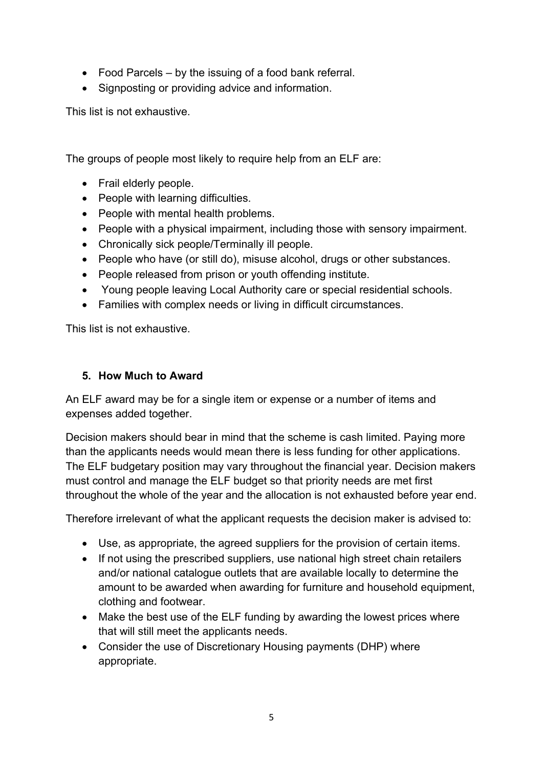- Food Parcels by the issuing of a food bank referral.
- Signposting or providing advice and information.

This list is not exhaustive.

The groups of people most likely to require help from an ELF are:

- Frail elderly people.
- People with learning difficulties.
- People with mental health problems.
- People with a physical impairment, including those with sensory impairment.
- Chronically sick people/Terminally ill people.
- People who have (or still do), misuse alcohol, drugs or other substances.
- People released from prison or youth offending institute.
- Young people leaving Local Authority care or special residential schools.
- Families with complex needs or living in difficult circumstances.

This list is not exhaustive.

#### **5. How Much to Award**

An ELF award may be for a single item or expense or a number of items and expenses added together.

Decision makers should bear in mind that the scheme is cash limited. Paying more than the applicants needs would mean there is less funding for other applications. The ELF budgetary position may vary throughout the financial year. Decision makers must control and manage the ELF budget so that priority needs are met first throughout the whole of the year and the allocation is not exhausted before year end.

Therefore irrelevant of what the applicant requests the decision maker is advised to:

- Use, as appropriate, the agreed suppliers for the provision of certain items.
- If not using the prescribed suppliers, use national high street chain retailers and/or national catalogue outlets that are available locally to determine the amount to be awarded when awarding for furniture and household equipment, clothing and footwear.
- Make the best use of the ELF funding by awarding the lowest prices where that will still meet the applicants needs.
- Consider the use of Discretionary Housing payments (DHP) where appropriate.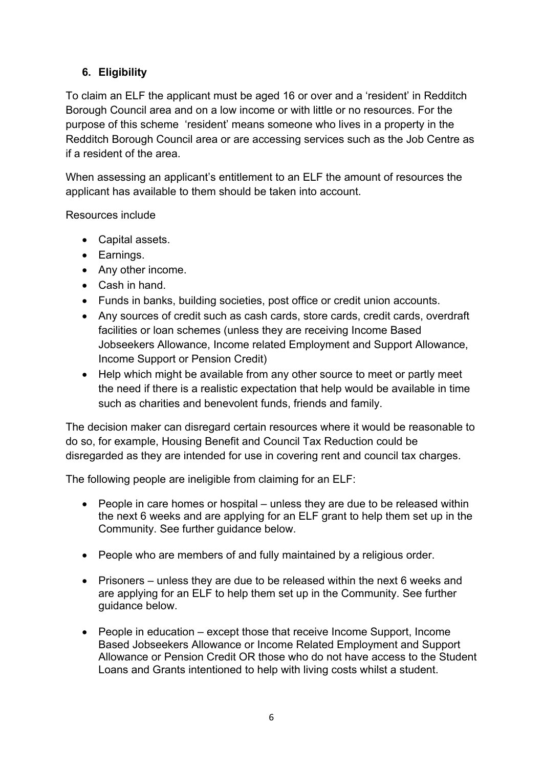# **6. Eligibility**

To claim an ELF the applicant must be aged 16 or over and a 'resident' in Redditch Borough Council area and on a low income or with little or no resources. For the purpose of this scheme 'resident' means someone who lives in a property in the Redditch Borough Council area or are accessing services such as the Job Centre as if a resident of the area.

When assessing an applicant's entitlement to an ELF the amount of resources the applicant has available to them should be taken into account.

Resources include

- Capital assets.
- Earnings.
- Any other income.
- Cash in hand.
- Funds in banks, building societies, post office or credit union accounts.
- Any sources of credit such as cash cards, store cards, credit cards, overdraft facilities or loan schemes (unless they are receiving Income Based Jobseekers Allowance, Income related Employment and Support Allowance, Income Support or Pension Credit)
- Help which might be available from any other source to meet or partly meet the need if there is a realistic expectation that help would be available in time such as charities and benevolent funds, friends and family.

The decision maker can disregard certain resources where it would be reasonable to do so, for example, Housing Benefit and Council Tax Reduction could be disregarded as they are intended for use in covering rent and council tax charges.

The following people are ineligible from claiming for an ELF:

- People in care homes or hospital unless they are due to be released within the next 6 weeks and are applying for an ELF grant to help them set up in the Community. See further guidance below.
- People who are members of and fully maintained by a religious order.
- Prisoners unless they are due to be released within the next 6 weeks and are applying for an ELF to help them set up in the Community. See further guidance below.
- People in education except those that receive Income Support, Income Based Jobseekers Allowance or Income Related Employment and Support Allowance or Pension Credit OR those who do not have access to the Student Loans and Grants intentioned to help with living costs whilst a student.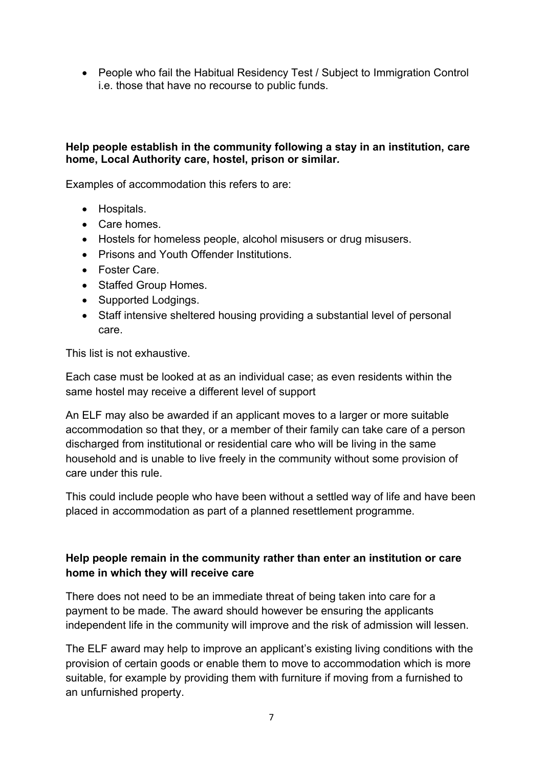• People who fail the Habitual Residency Test / Subject to Immigration Control i.e. those that have no recourse to public funds.

#### **Help people establish in the community following a stay in an institution, care home, Local Authority care, hostel, prison or similar***.*

Examples of accommodation this refers to are:

- Hospitals.
- Care homes.
- Hostels for homeless people, alcohol misusers or drug misusers.
- Prisons and Youth Offender Institutions.
- Foster Care.
- Staffed Group Homes.
- Supported Lodgings.
- Staff intensive sheltered housing providing a substantial level of personal care.

This list is not exhaustive.

Each case must be looked at as an individual case; as even residents within the same hostel may receive a different level of support

An ELF may also be awarded if an applicant moves to a larger or more suitable accommodation so that they, or a member of their family can take care of a person discharged from institutional or residential care who will be living in the same household and is unable to live freely in the community without some provision of care under this rule.

This could include people who have been without a settled way of life and have been placed in accommodation as part of a planned resettlement programme.

### **Help people remain in the community rather than enter an institution or care home in which they will receive care**

There does not need to be an immediate threat of being taken into care for a payment to be made. The award should however be ensuring the applicants independent life in the community will improve and the risk of admission will lessen.

The ELF award may help to improve an applicant's existing living conditions with the provision of certain goods or enable them to move to accommodation which is more suitable, for example by providing them with furniture if moving from a furnished to an unfurnished property.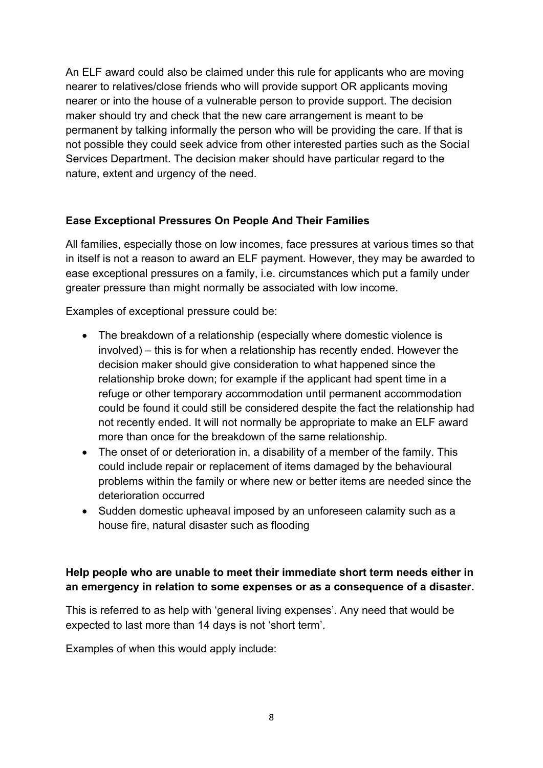An ELF award could also be claimed under this rule for applicants who are moving nearer to relatives/close friends who will provide support OR applicants moving nearer or into the house of a vulnerable person to provide support. The decision maker should try and check that the new care arrangement is meant to be permanent by talking informally the person who will be providing the care. If that is not possible they could seek advice from other interested parties such as the Social Services Department. The decision maker should have particular regard to the nature, extent and urgency of the need.

### **Ease Exceptional Pressures On People And Their Families**

All families, especially those on low incomes, face pressures at various times so that in itself is not a reason to award an ELF payment. However, they may be awarded to ease exceptional pressures on a family, i.e. circumstances which put a family under greater pressure than might normally be associated with low income.

Examples of exceptional pressure could be:

- The breakdown of a relationship (especially where domestic violence is involved) – this is for when a relationship has recently ended. However the decision maker should give consideration to what happened since the relationship broke down; for example if the applicant had spent time in a refuge or other temporary accommodation until permanent accommodation could be found it could still be considered despite the fact the relationship had not recently ended. It will not normally be appropriate to make an ELF award more than once for the breakdown of the same relationship.
- The onset of or deterioration in, a disability of a member of the family. This could include repair or replacement of items damaged by the behavioural problems within the family or where new or better items are needed since the deterioration occurred
- Sudden domestic upheaval imposed by an unforeseen calamity such as a house fire, natural disaster such as flooding

# **Help people who are unable to meet their immediate short term needs either in an emergency in relation to some expenses or as a consequence of a disaster.**

This is referred to as help with 'general living expenses'. Any need that would be expected to last more than 14 days is not 'short term'.

Examples of when this would apply include: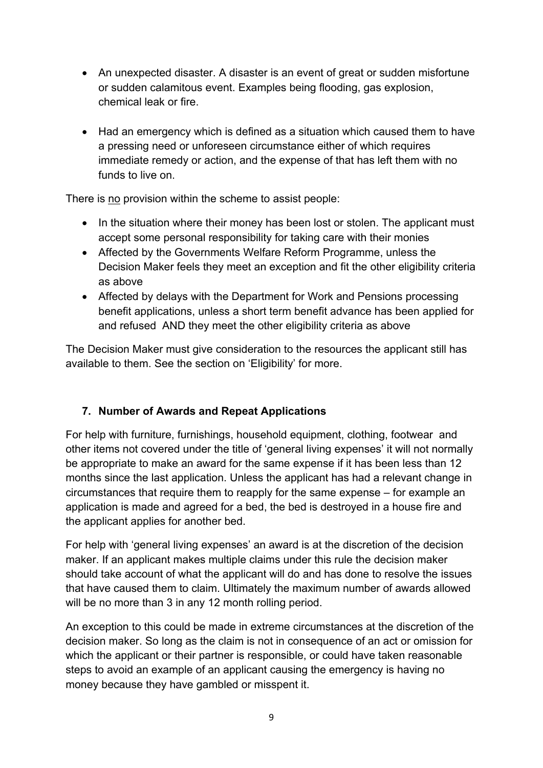- An unexpected disaster. A disaster is an event of great or sudden misfortune or sudden calamitous event. Examples being flooding, gas explosion, chemical leak or fire.
- Had an emergency which is defined as a situation which caused them to have a pressing need or unforeseen circumstance either of which requires immediate remedy or action, and the expense of that has left them with no funds to live on.

There is no provision within the scheme to assist people:

- In the situation where their money has been lost or stolen. The applicant must accept some personal responsibility for taking care with their monies
- Affected by the Governments Welfare Reform Programme, unless the Decision Maker feels they meet an exception and fit the other eligibility criteria as above
- Affected by delays with the Department for Work and Pensions processing benefit applications, unless a short term benefit advance has been applied for and refused AND they meet the other eligibility criteria as above

The Decision Maker must give consideration to the resources the applicant still has available to them. See the section on 'Eligibility' for more.

# **7. Number of Awards and Repeat Applications**

For help with furniture, furnishings, household equipment, clothing, footwear and other items not covered under the title of 'general living expenses' it will not normally be appropriate to make an award for the same expense if it has been less than 12 months since the last application. Unless the applicant has had a relevant change in circumstances that require them to reapply for the same expense – for example an application is made and agreed for a bed, the bed is destroyed in a house fire and the applicant applies for another bed.

For help with 'general living expenses' an award is at the discretion of the decision maker. If an applicant makes multiple claims under this rule the decision maker should take account of what the applicant will do and has done to resolve the issues that have caused them to claim. Ultimately the maximum number of awards allowed will be no more than 3 in any 12 month rolling period.

An exception to this could be made in extreme circumstances at the discretion of the decision maker. So long as the claim is not in consequence of an act or omission for which the applicant or their partner is responsible, or could have taken reasonable steps to avoid an example of an applicant causing the emergency is having no money because they have gambled or misspent it.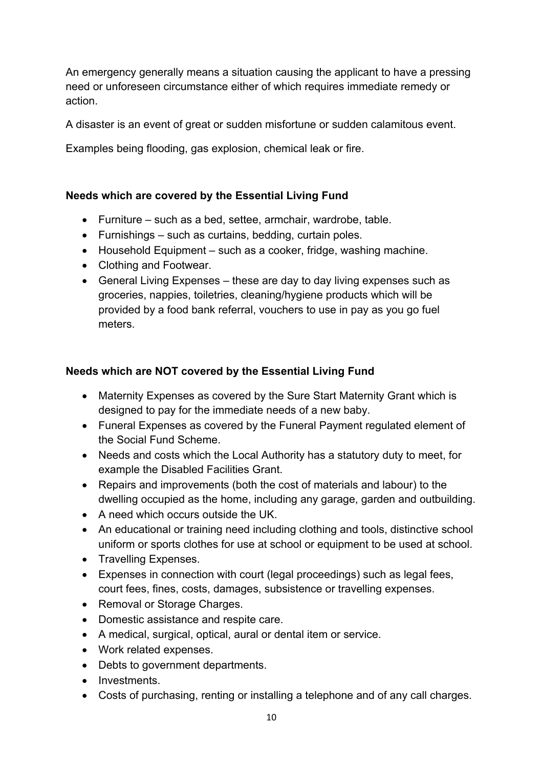An emergency generally means a situation causing the applicant to have a pressing need or unforeseen circumstance either of which requires immediate remedy or action.

A disaster is an event of great or sudden misfortune or sudden calamitous event.

Examples being flooding, gas explosion, chemical leak or fire.

## **Needs which are covered by the Essential Living Fund**

- Furniture such as a bed, settee, armchair, wardrobe, table.
- Furnishings such as curtains, bedding, curtain poles.
- Household Equipment such as a cooker, fridge, washing machine.
- Clothing and Footwear.
- General Living Expenses these are day to day living expenses such as groceries, nappies, toiletries, cleaning/hygiene products which will be provided by a food bank referral, vouchers to use in pay as you go fuel meters.

### **Needs which are NOT covered by the Essential Living Fund**

- Maternity Expenses as covered by the Sure Start Maternity Grant which is designed to pay for the immediate needs of a new baby.
- Funeral Expenses as covered by the Funeral Payment regulated element of the Social Fund Scheme.
- Needs and costs which the Local Authority has a statutory duty to meet, for example the Disabled Facilities Grant.
- Repairs and improvements (both the cost of materials and labour) to the dwelling occupied as the home, including any garage, garden and outbuilding.
- A need which occurs outside the UK.
- An educational or training need including clothing and tools, distinctive school uniform or sports clothes for use at school or equipment to be used at school.
- Travelling Expenses.
- Expenses in connection with court (legal proceedings) such as legal fees, court fees, fines, costs, damages, subsistence or travelling expenses.
- Removal or Storage Charges.
- Domestic assistance and respite care.
- A medical, surgical, optical, aural or dental item or service.
- Work related expenses.
- Debts to government departments.
- Investments.
- Costs of purchasing, renting or installing a telephone and of any call charges.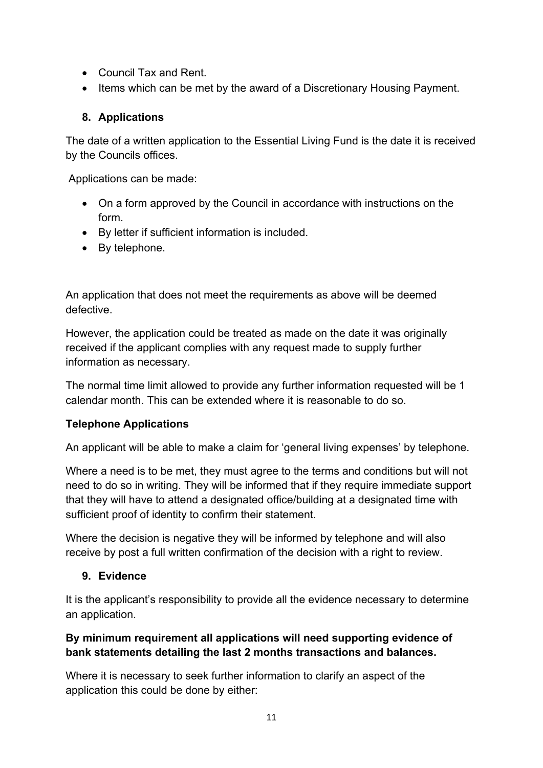- Council Tax and Rent.
- Items which can be met by the award of a Discretionary Housing Payment.

## **8. Applications**

The date of a written application to the Essential Living Fund is the date it is received by the Councils offices.

Applications can be made:

- On a form approved by the Council in accordance with instructions on the form.
- By letter if sufficient information is included.
- By telephone.

An application that does not meet the requirements as above will be deemed defective.

However, the application could be treated as made on the date it was originally received if the applicant complies with any request made to supply further information as necessary.

The normal time limit allowed to provide any further information requested will be 1 calendar month. This can be extended where it is reasonable to do so.

# **Telephone Applications**

An applicant will be able to make a claim for 'general living expenses' by telephone.

Where a need is to be met, they must agree to the terms and conditions but will not need to do so in writing. They will be informed that if they require immediate support that they will have to attend a designated office/building at a designated time with sufficient proof of identity to confirm their statement.

Where the decision is negative they will be informed by telephone and will also receive by post a full written confirmation of the decision with a right to review.

# **9. Evidence**

It is the applicant's responsibility to provide all the evidence necessary to determine an application.

# **By minimum requirement all applications will need supporting evidence of bank statements detailing the last 2 months transactions and balances.**

Where it is necessary to seek further information to clarify an aspect of the application this could be done by either: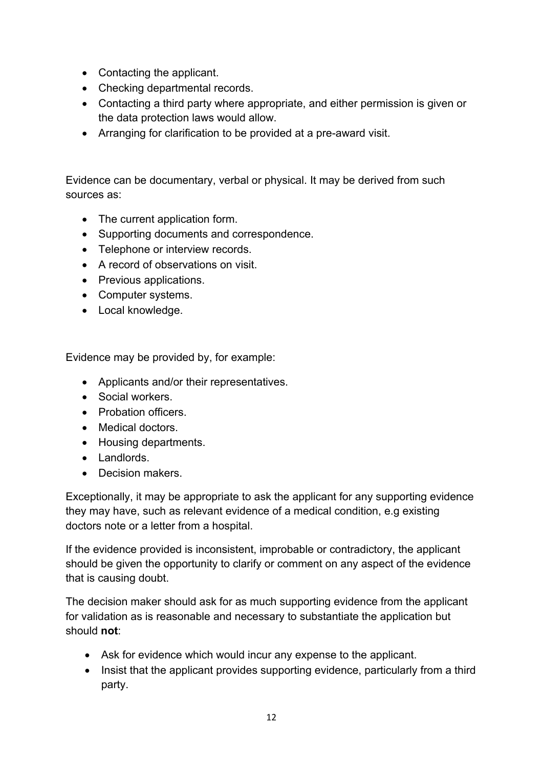- Contacting the applicant.
- Checking departmental records.
- Contacting a third party where appropriate, and either permission is given or the data protection laws would allow.
- Arranging for clarification to be provided at a pre-award visit.

Evidence can be documentary, verbal or physical. It may be derived from such sources as:

- The current application form.
- Supporting documents and correspondence.
- Telephone or interview records.
- A record of observations on visit.
- Previous applications.
- Computer systems.
- Local knowledge.

Evidence may be provided by, for example:

- Applicants and/or their representatives.
- Social workers.
- Probation officers
- Medical doctors.
- Housing departments.
- Landlords.
- Decision makers.

Exceptionally, it may be appropriate to ask the applicant for any supporting evidence they may have, such as relevant evidence of a medical condition, e.g existing doctors note or a letter from a hospital.

If the evidence provided is inconsistent, improbable or contradictory, the applicant should be given the opportunity to clarify or comment on any aspect of the evidence that is causing doubt.

The decision maker should ask for as much supporting evidence from the applicant for validation as is reasonable and necessary to substantiate the application but should **not**:

- Ask for evidence which would incur any expense to the applicant.
- Insist that the applicant provides supporting evidence, particularly from a third party.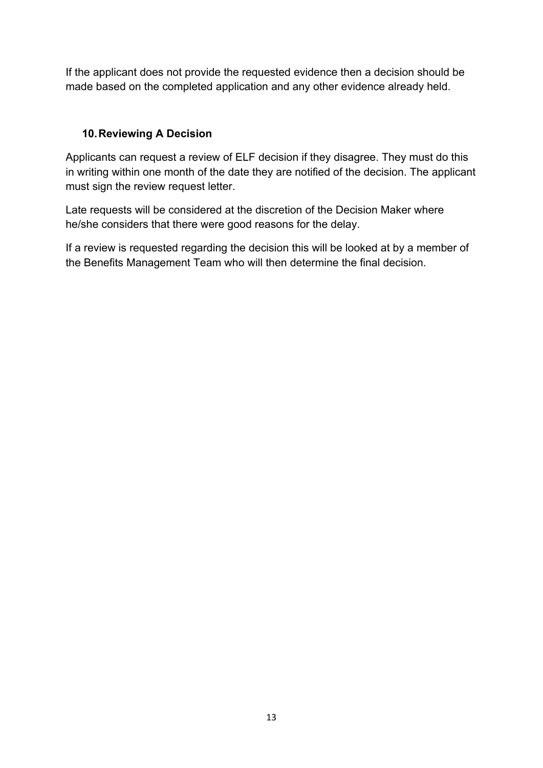If the applicant does not provide the requested evidence then a decision should be made based on the completed application and any other evidence already held.

## **10.Reviewing A Decision**

Applicants can request a review of ELF decision if they disagree. They must do this in writing within one month of the date they are notified of the decision. The applicant must sign the review request letter.

Late requests will be considered at the discretion of the Decision Maker where he/she considers that there were good reasons for the delay.

If a review is requested regarding the decision this will be looked at by a member of the Benefits Management Team who will then determine the final decision.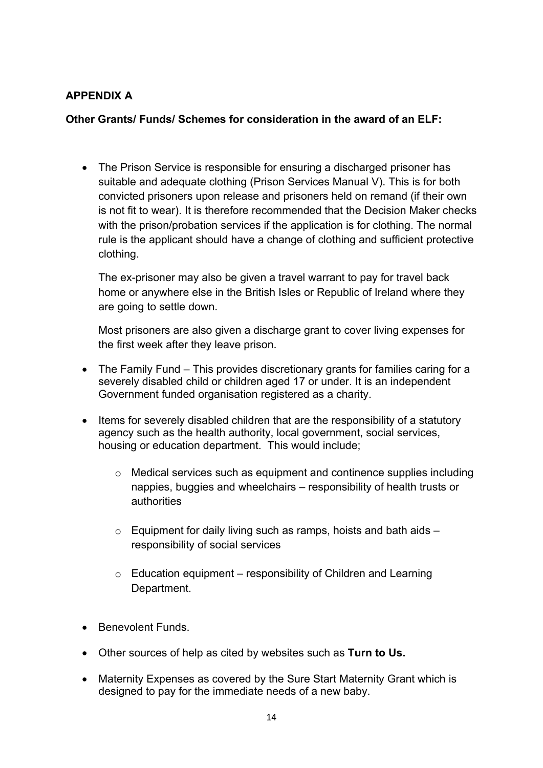## **APPENDIX A**

#### **Other Grants/ Funds/ Schemes for consideration in the award of an ELF:**

• The Prison Service is responsible for ensuring a discharged prisoner has suitable and adequate clothing (Prison Services Manual V). This is for both convicted prisoners upon release and prisoners held on remand (if their own is not fit to wear). It is therefore recommended that the Decision Maker checks with the prison/probation services if the application is for clothing. The normal rule is the applicant should have a change of clothing and sufficient protective clothing.

The ex-prisoner may also be given a travel warrant to pay for travel back home or anywhere else in the British Isles or Republic of Ireland where they are going to settle down.

Most prisoners are also given a discharge grant to cover living expenses for the first week after they leave prison.

- The Family Fund This provides discretionary grants for families caring for a severely disabled child or children aged 17 or under. It is an independent Government funded organisation registered as a charity.
- Items for severely disabled children that are the responsibility of a statutory agency such as the health authority, local government, social services, housing or education department. This would include;
	- o Medical services such as equipment and continence supplies including nappies, buggies and wheelchairs – responsibility of health trusts or authorities
	- $\circ$  Equipment for daily living such as ramps, hoists and bath aids  $$ responsibility of social services
	- $\circ$  Education equipment responsibility of Children and Learning Department.
- **Benevolent Funds**
- Other sources of help as cited by websites such as **Turn to Us.**
- Maternity Expenses as covered by the Sure Start Maternity Grant which is designed to pay for the immediate needs of a new baby.